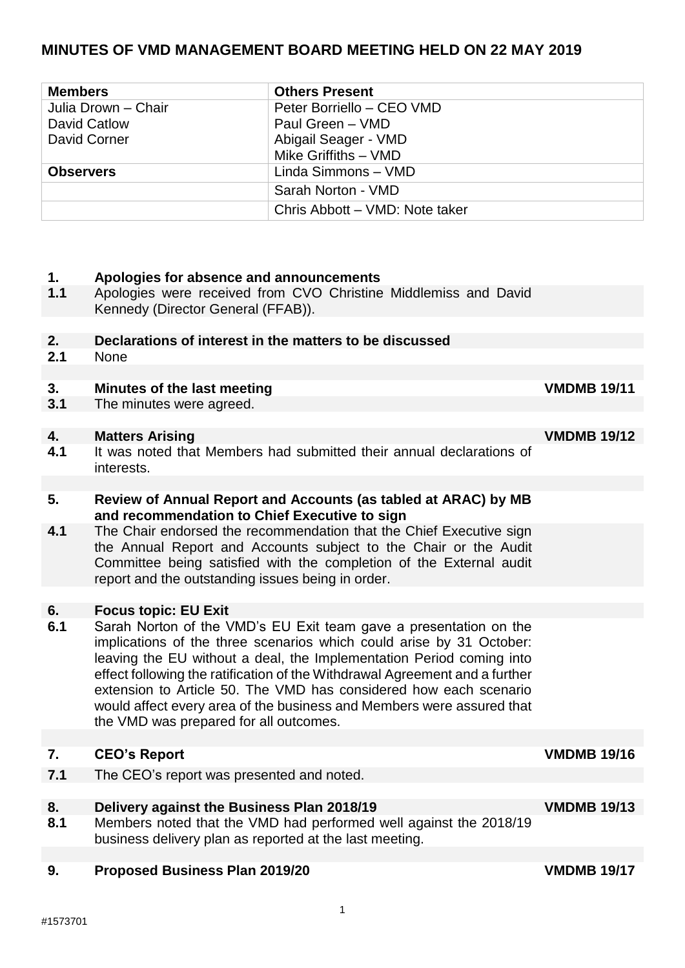# **MINUTES OF VMD MANAGEMENT BOARD MEETING HELD ON 22 MAY 2019**

| <b>Members</b>      | <b>Others Present</b>          |
|---------------------|--------------------------------|
| Julia Drown - Chair | Peter Borriello - CEO VMD      |
| David Catlow        | Paul Green - VMD               |
| David Corner        | Abigail Seager - VMD           |
|                     | Mike Griffiths - VMD           |
| <b>Observers</b>    | Linda Simmons - VMD            |
|                     | Sarah Norton - VMD             |
|                     | Chris Abbott - VMD: Note taker |

### **1. Apologies for absence and announcements**

- **1.1** Apologies were received from CVO Christine Middlemiss and David Kennedy (Director General (FFAB)).
- **2. Declarations of interest in the matters to be discussed**
- **2.1** None

## **3.** Minutes of the last meeting **VMDMB** 19/11

**3.1** The minutes were agreed.

#### **4. Matters Arising VMDMB 19/12**

**4.1** It was noted that Members had submitted their annual declarations of interests.

### **5. Review of Annual Report and Accounts (as tabled at ARAC) by MB and recommendation to Chief Executive to sign**

**4.1** The Chair endorsed the recommendation that the Chief Executive sign the Annual Report and Accounts subject to the Chair or the Audit Committee being satisfied with the completion of the External audit report and the outstanding issues being in order.

#### **6. Focus topic: EU Exit**

**6.1** Sarah Norton of the VMD's EU Exit team gave a presentation on the implications of the three scenarios which could arise by 31 October: leaving the EU without a deal, the Implementation Period coming into effect following the ratification of the Withdrawal Agreement and a further extension to Article 50. The VMD has considered how each scenario would affect every area of the business and Members were assured that the VMD was prepared for all outcomes.

## **7. CEO's Report VMDMB 19/16**

**7.1** The CEO's report was presented and noted.

## **8. Delivery against the Business Plan 2018/19 VMDMB 19/13**

**8.1** Members noted that the VMD had performed well against the 2018/19 business delivery plan as reported at the last meeting.

#### **9. Proposed Business Plan 2019/20 VMDMB 19/17**